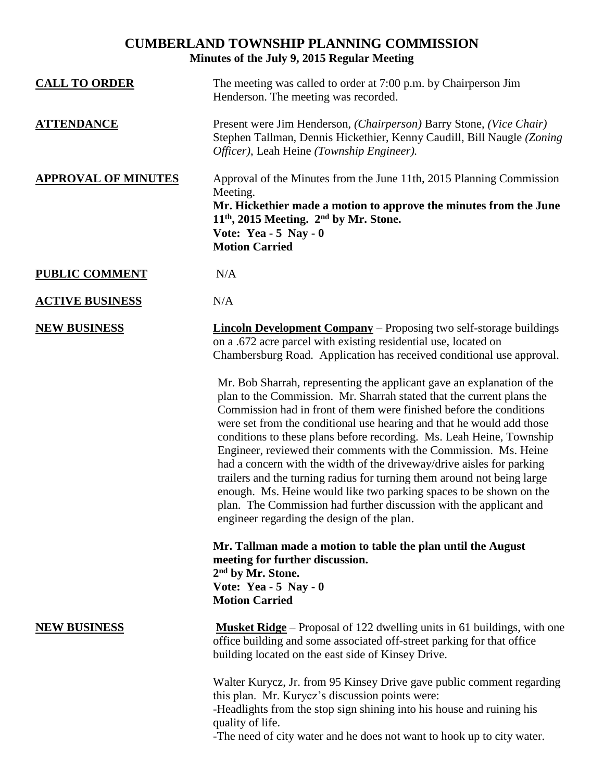## **CUMBERLAND TOWNSHIP PLANNING COMMISSION Minutes of the July 9, 2015 Regular Meeting**

| <b>CALL TO ORDER</b>       | The meeting was called to order at 7:00 p.m. by Chairperson Jim<br>Henderson. The meeting was recorded.                                                                                                                                                                                                                                                                                                                                                                                                                                                                                                                                                                                                                                                                                                                                                                                                                                                                                                                                                                                                                                                                                                    |
|----------------------------|------------------------------------------------------------------------------------------------------------------------------------------------------------------------------------------------------------------------------------------------------------------------------------------------------------------------------------------------------------------------------------------------------------------------------------------------------------------------------------------------------------------------------------------------------------------------------------------------------------------------------------------------------------------------------------------------------------------------------------------------------------------------------------------------------------------------------------------------------------------------------------------------------------------------------------------------------------------------------------------------------------------------------------------------------------------------------------------------------------------------------------------------------------------------------------------------------------|
| <b>ATTENDANCE</b>          | Present were Jim Henderson, (Chairperson) Barry Stone, (Vice Chair)<br>Stephen Tallman, Dennis Hickethier, Kenny Caudill, Bill Naugle (Zoning<br>Officer), Leah Heine (Township Engineer).                                                                                                                                                                                                                                                                                                                                                                                                                                                                                                                                                                                                                                                                                                                                                                                                                                                                                                                                                                                                                 |
| <b>APPROVAL OF MINUTES</b> | Approval of the Minutes from the June 11th, 2015 Planning Commission<br>Meeting.<br>Mr. Hickethier made a motion to approve the minutes from the June<br>$11th$ , 2015 Meeting. $2nd$ by Mr. Stone.<br>Vote: Yea - $5$ Nay - 0<br><b>Motion Carried</b>                                                                                                                                                                                                                                                                                                                                                                                                                                                                                                                                                                                                                                                                                                                                                                                                                                                                                                                                                    |
| <b>PUBLIC COMMENT</b>      | N/A                                                                                                                                                                                                                                                                                                                                                                                                                                                                                                                                                                                                                                                                                                                                                                                                                                                                                                                                                                                                                                                                                                                                                                                                        |
| <b>ACTIVE BUSINESS</b>     | N/A                                                                                                                                                                                                                                                                                                                                                                                                                                                                                                                                                                                                                                                                                                                                                                                                                                                                                                                                                                                                                                                                                                                                                                                                        |
| <b>NEW BUSINESS</b>        | <b>Lincoln Development Company</b> – Proposing two self-storage buildings<br>on a .672 acre parcel with existing residential use, located on<br>Chambersburg Road. Application has received conditional use approval.<br>Mr. Bob Sharrah, representing the applicant gave an explanation of the<br>plan to the Commission. Mr. Sharrah stated that the current plans the<br>Commission had in front of them were finished before the conditions<br>were set from the conditional use hearing and that he would add those<br>conditions to these plans before recording. Ms. Leah Heine, Township<br>Engineer, reviewed their comments with the Commission. Ms. Heine<br>had a concern with the width of the driveway/drive aisles for parking<br>trailers and the turning radius for turning them around not being large<br>enough. Ms. Heine would like two parking spaces to be shown on the<br>plan. The Commission had further discussion with the applicant and<br>engineer regarding the design of the plan.<br>Mr. Tallman made a motion to table the plan until the August<br>meeting for further discussion.<br>2 <sup>nd</sup> by Mr. Stone.<br>Vote: Yea - $5$ Nay - 0<br><b>Motion Carried</b> |
| <b>NEW BUSINESS</b>        | <b>Musket Ridge</b> – Proposal of 122 dwelling units in 61 buildings, with one                                                                                                                                                                                                                                                                                                                                                                                                                                                                                                                                                                                                                                                                                                                                                                                                                                                                                                                                                                                                                                                                                                                             |
|                            | office building and some associated off-street parking for that office<br>building located on the east side of Kinsey Drive.                                                                                                                                                                                                                                                                                                                                                                                                                                                                                                                                                                                                                                                                                                                                                                                                                                                                                                                                                                                                                                                                               |
|                            | Walter Kurycz, Jr. from 95 Kinsey Drive gave public comment regarding<br>this plan. Mr. Kurycz's discussion points were:<br>-Headlights from the stop sign shining into his house and ruining his<br>quality of life.<br>-The need of city water and he does not want to hook up to city water.                                                                                                                                                                                                                                                                                                                                                                                                                                                                                                                                                                                                                                                                                                                                                                                                                                                                                                            |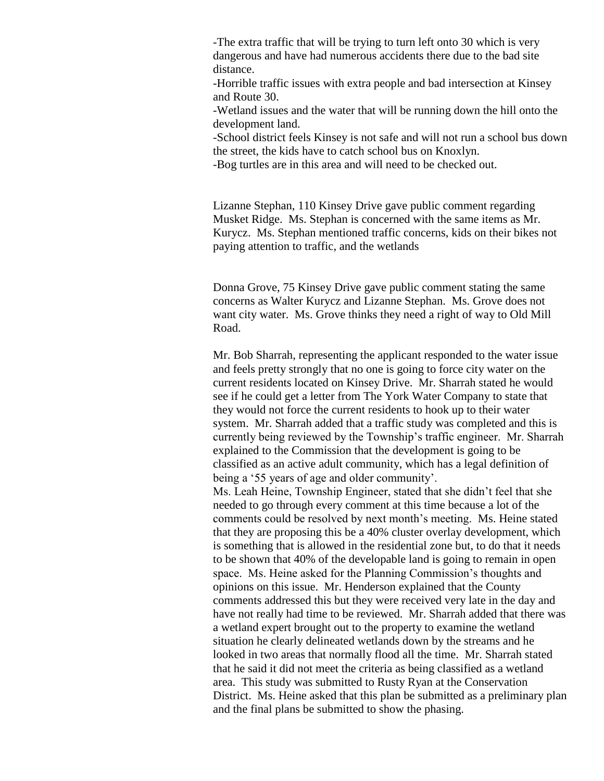-The extra traffic that will be trying to turn left onto 30 which is very dangerous and have had numerous accidents there due to the bad site distance.

-Horrible traffic issues with extra people and bad intersection at Kinsey and Route 30.

-Wetland issues and the water that will be running down the hill onto the development land.

-School district feels Kinsey is not safe and will not run a school bus down the street, the kids have to catch school bus on Knoxlyn.

-Bog turtles are in this area and will need to be checked out.

Lizanne Stephan, 110 Kinsey Drive gave public comment regarding Musket Ridge. Ms. Stephan is concerned with the same items as Mr. Kurycz. Ms. Stephan mentioned traffic concerns, kids on their bikes not paying attention to traffic, and the wetlands

Donna Grove, 75 Kinsey Drive gave public comment stating the same concerns as Walter Kurycz and Lizanne Stephan. Ms. Grove does not want city water. Ms. Grove thinks they need a right of way to Old Mill Road.

Mr. Bob Sharrah, representing the applicant responded to the water issue and feels pretty strongly that no one is going to force city water on the current residents located on Kinsey Drive. Mr. Sharrah stated he would see if he could get a letter from The York Water Company to state that they would not force the current residents to hook up to their water system. Mr. Sharrah added that a traffic study was completed and this is currently being reviewed by the Township's traffic engineer. Mr. Sharrah explained to the Commission that the development is going to be classified as an active adult community, which has a legal definition of being a '55 years of age and older community'.

Ms. Leah Heine, Township Engineer, stated that she didn't feel that she needed to go through every comment at this time because a lot of the comments could be resolved by next month's meeting. Ms. Heine stated that they are proposing this be a 40% cluster overlay development, which is something that is allowed in the residential zone but, to do that it needs to be shown that 40% of the developable land is going to remain in open space. Ms. Heine asked for the Planning Commission's thoughts and opinions on this issue. Mr. Henderson explained that the County comments addressed this but they were received very late in the day and have not really had time to be reviewed. Mr. Sharrah added that there was a wetland expert brought out to the property to examine the wetland situation he clearly delineated wetlands down by the streams and he looked in two areas that normally flood all the time. Mr. Sharrah stated that he said it did not meet the criteria as being classified as a wetland area. This study was submitted to Rusty Ryan at the Conservation District. Ms. Heine asked that this plan be submitted as a preliminary plan and the final plans be submitted to show the phasing.